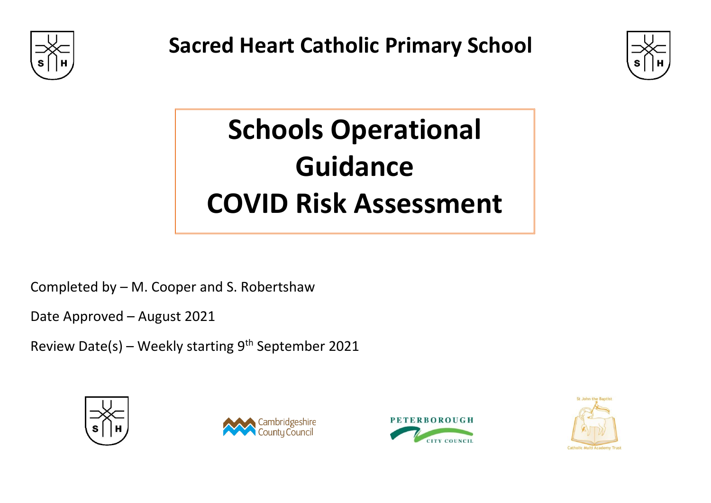

**Sacred Heart Catholic Primary School**



## **Schools Operational Guidance COVID Risk Assessment**

Completed by – M. Cooper and S. Robertshaw

Date Approved – August 2021

Review Date(s) - Weekly starting 9<sup>th</sup> September 2021







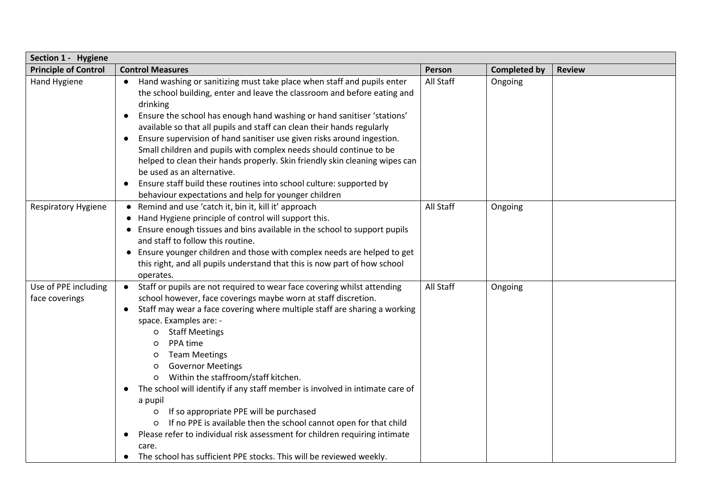| Section 1 - Hygiene                    |                                                                                                                                                                                                                                                                                                                                                                                                                                                                                                                                                                                                                                                                                                                                                                                                                                                  |           |                     |               |  |
|----------------------------------------|--------------------------------------------------------------------------------------------------------------------------------------------------------------------------------------------------------------------------------------------------------------------------------------------------------------------------------------------------------------------------------------------------------------------------------------------------------------------------------------------------------------------------------------------------------------------------------------------------------------------------------------------------------------------------------------------------------------------------------------------------------------------------------------------------------------------------------------------------|-----------|---------------------|---------------|--|
| <b>Principle of Control</b>            | <b>Control Measures</b>                                                                                                                                                                                                                                                                                                                                                                                                                                                                                                                                                                                                                                                                                                                                                                                                                          | Person    | <b>Completed by</b> | <b>Review</b> |  |
| Hand Hygiene                           | Hand washing or sanitizing must take place when staff and pupils enter<br>the school building, enter and leave the classroom and before eating and<br>drinking<br>Ensure the school has enough hand washing or hand sanitiser 'stations'<br>available so that all pupils and staff can clean their hands regularly<br>Ensure supervision of hand sanitiser use given risks around ingestion.<br>$\bullet$<br>Small children and pupils with complex needs should continue to be<br>helped to clean their hands properly. Skin friendly skin cleaning wipes can<br>be used as an alternative.<br>Ensure staff build these routines into school culture: supported by<br>behaviour expectations and help for younger children                                                                                                                      | All Staff | Ongoing             |               |  |
| <b>Respiratory Hygiene</b>             | • Remind and use 'catch it, bin it, kill it' approach<br>• Hand Hygiene principle of control will support this.<br>• Ensure enough tissues and bins available in the school to support pupils<br>and staff to follow this routine.<br>• Ensure younger children and those with complex needs are helped to get<br>this right, and all pupils understand that this is now part of how school<br>operates.                                                                                                                                                                                                                                                                                                                                                                                                                                         | All Staff | Ongoing             |               |  |
| Use of PPE including<br>face coverings | Staff or pupils are not required to wear face covering whilst attending<br>$\bullet$<br>school however, face coverings maybe worn at staff discretion.<br>Staff may wear a face covering where multiple staff are sharing a working<br>space. Examples are: -<br><b>Staff Meetings</b><br>$\circ$<br>PPA time<br>O<br><b>Team Meetings</b><br>O<br><b>Governor Meetings</b><br>$\circ$<br>Within the staffroom/staff kitchen.<br>The school will identify if any staff member is involved in intimate care of<br>$\bullet$<br>a pupil<br>If so appropriate PPE will be purchased<br>$\circ$<br>If no PPE is available then the school cannot open for that child<br>O<br>Please refer to individual risk assessment for children requiring intimate<br>$\bullet$<br>care.<br>The school has sufficient PPE stocks. This will be reviewed weekly. | All Staff | Ongoing             |               |  |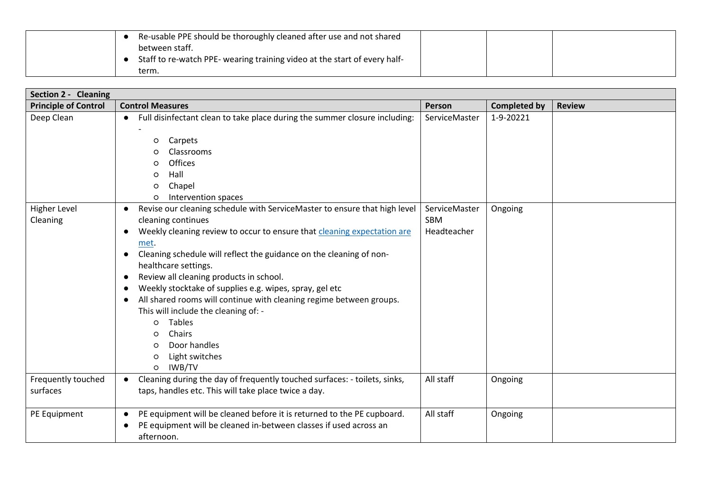| Re-usable PPE should be thoroughly cleaned after use and not shared       |
|---------------------------------------------------------------------------|
| between staff.                                                            |
| Staff to re-watch PPE- wearing training video at the start of every half- |
| term.                                                                     |

| Section 2 - Cleaning            |                                                                                                                                                                                                                                                                                                                                                                                                                                                                                                                                                                                                                                                                                       |                                     |                     |               |  |
|---------------------------------|---------------------------------------------------------------------------------------------------------------------------------------------------------------------------------------------------------------------------------------------------------------------------------------------------------------------------------------------------------------------------------------------------------------------------------------------------------------------------------------------------------------------------------------------------------------------------------------------------------------------------------------------------------------------------------------|-------------------------------------|---------------------|---------------|--|
| <b>Principle of Control</b>     | <b>Control Measures</b>                                                                                                                                                                                                                                                                                                                                                                                                                                                                                                                                                                                                                                                               | Person                              | <b>Completed by</b> | <b>Review</b> |  |
| Deep Clean                      | Full disinfectant clean to take place during the summer closure including:<br>$\bullet$<br>Carpets<br>$\circ$<br>Classrooms<br>O<br>Offices<br>$\circ$<br>Hall<br>$\circ$<br>Chapel<br>O<br>Intervention spaces<br>O                                                                                                                                                                                                                                                                                                                                                                                                                                                                  | ServiceMaster                       | 1-9-20221           |               |  |
| <b>Higher Level</b><br>Cleaning | Revise our cleaning schedule with ServiceMaster to ensure that high level<br>$\bullet$<br>cleaning continues<br>Weekly cleaning review to occur to ensure that cleaning expectation are<br>$\bullet$<br>met.<br>Cleaning schedule will reflect the guidance on the cleaning of non-<br>healthcare settings.<br>Review all cleaning products in school.<br>$\bullet$<br>Weekly stocktake of supplies e.g. wipes, spray, gel etc<br>$\bullet$<br>All shared rooms will continue with cleaning regime between groups.<br>$\bullet$<br>This will include the cleaning of: -<br>o Tables<br>Chairs<br>$\circ$<br>Door handles<br>$\circ$<br>Light switches<br>$\circ$<br>IWB/TV<br>$\circ$ | ServiceMaster<br>SBM<br>Headteacher | Ongoing             |               |  |
| Frequently touched<br>surfaces  | Cleaning during the day of frequently touched surfaces: - toilets, sinks,<br>taps, handles etc. This will take place twice a day.                                                                                                                                                                                                                                                                                                                                                                                                                                                                                                                                                     | All staff                           | Ongoing             |               |  |
| PE Equipment                    | PE equipment will be cleaned before it is returned to the PE cupboard.<br>PE equipment will be cleaned in-between classes if used across an<br>afternoon.                                                                                                                                                                                                                                                                                                                                                                                                                                                                                                                             | All staff                           | Ongoing             |               |  |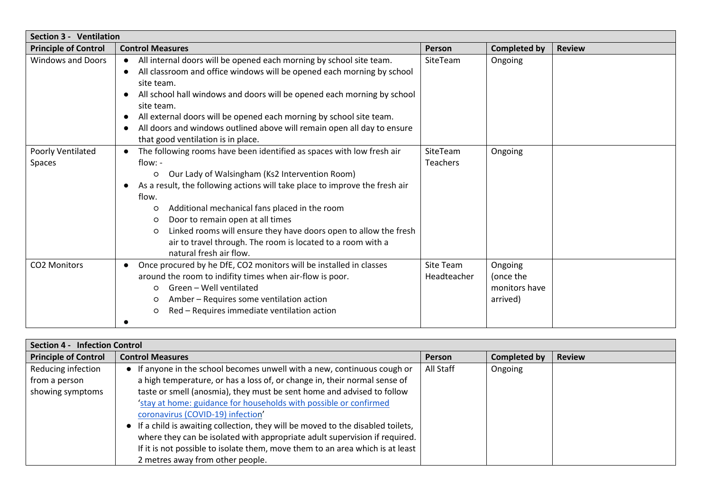| <b>Section 3 - Ventilation</b> |                                                                                                                                                                                                                                                                                                                                                                                                                                                                                                                                                     |                             |                                                   |               |  |
|--------------------------------|-----------------------------------------------------------------------------------------------------------------------------------------------------------------------------------------------------------------------------------------------------------------------------------------------------------------------------------------------------------------------------------------------------------------------------------------------------------------------------------------------------------------------------------------------------|-----------------------------|---------------------------------------------------|---------------|--|
| <b>Principle of Control</b>    | <b>Control Measures</b>                                                                                                                                                                                                                                                                                                                                                                                                                                                                                                                             | Person                      | <b>Completed by</b>                               | <b>Review</b> |  |
| <b>Windows and Doors</b>       | All internal doors will be opened each morning by school site team.<br>All classroom and office windows will be opened each morning by school<br>$\bullet$<br>site team.<br>All school hall windows and doors will be opened each morning by school<br>٠<br>site team.<br>All external doors will be opened each morning by school site team.<br>$\bullet$<br>All doors and windows outlined above will remain open all day to ensure<br>$\bullet$<br>that good ventilation is in place.                                                            | SiteTeam                    | Ongoing                                           |               |  |
| Poorly Ventilated<br>Spaces    | The following rooms have been identified as spaces with low fresh air<br>$\bullet$<br>flow: -<br>Our Lady of Walsingham (Ks2 Intervention Room)<br>$\circ$<br>As a result, the following actions will take place to improve the fresh air<br>$\bullet$<br>flow.<br>Additional mechanical fans placed in the room<br>$\circ$<br>Door to remain open at all times<br>$\circ$<br>Linked rooms will ensure they have doors open to allow the fresh<br>$\circ$<br>air to travel through. The room is located to a room with a<br>natural fresh air flow. | SiteTeam<br><b>Teachers</b> | Ongoing                                           |               |  |
| CO2 Monitors                   | Once procured by he DfE, CO2 monitors will be installed in classes<br>$\bullet$<br>around the room to indifity times when air-flow is poor.<br>Green - Well ventilated<br>$\circ$<br>Amber - Requires some ventilation action<br>$\circ$<br>Red - Requires immediate ventilation action<br>$\circ$                                                                                                                                                                                                                                                  | Site Team<br>Headteacher    | Ongoing<br>(once the<br>monitors have<br>arrived) |               |  |

| Section 4 - Infection Control |                                                                                  |               |              |               |  |  |
|-------------------------------|----------------------------------------------------------------------------------|---------------|--------------|---------------|--|--|
| <b>Principle of Control</b>   | <b>Control Measures</b>                                                          | <b>Person</b> | Completed by | <b>Review</b> |  |  |
| Reducing infection            | • If anyone in the school becomes unwell with a new, continuous cough or         | All Staff     | Ongoing      |               |  |  |
| from a person                 | a high temperature, or has a loss of, or change in, their normal sense of        |               |              |               |  |  |
| showing symptoms              | taste or smell (anosmia), they must be sent home and advised to follow           |               |              |               |  |  |
|                               | 'stay at home: guidance for households with possible or confirmed                |               |              |               |  |  |
|                               | coronavirus (COVID-19) infection'                                                |               |              |               |  |  |
|                               | • If a child is awaiting collection, they will be moved to the disabled toilets, |               |              |               |  |  |
|                               | where they can be isolated with appropriate adult supervision if required.       |               |              |               |  |  |
|                               | If it is not possible to isolate them, move them to an area which is at least    |               |              |               |  |  |
|                               | 2 metres away from other people.                                                 |               |              |               |  |  |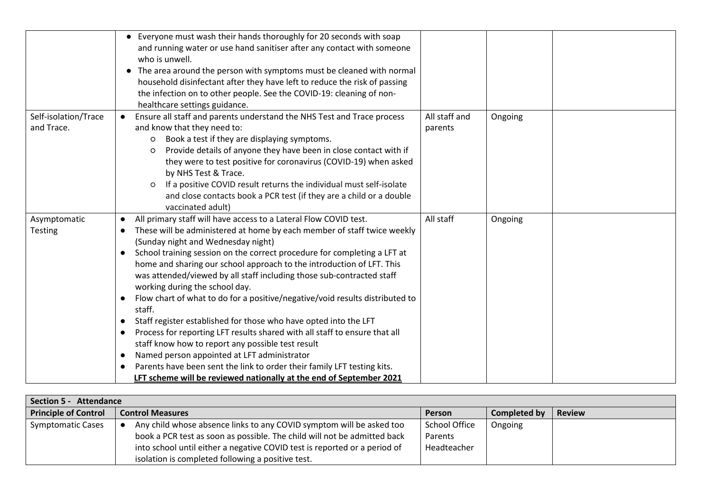|                                    | • Everyone must wash their hands thoroughly for 20 seconds with soap<br>and running water or use hand sanitiser after any contact with someone<br>who is unwell.<br>• The area around the person with symptoms must be cleaned with normal<br>household disinfectant after they have left to reduce the risk of passing<br>the infection on to other people. See the COVID-19: cleaning of non-<br>healthcare settings guidance.                                                                                                                                                                                                                                                                                                                                                                                                                                                                                                                                                                                                               |                          |         |  |
|------------------------------------|------------------------------------------------------------------------------------------------------------------------------------------------------------------------------------------------------------------------------------------------------------------------------------------------------------------------------------------------------------------------------------------------------------------------------------------------------------------------------------------------------------------------------------------------------------------------------------------------------------------------------------------------------------------------------------------------------------------------------------------------------------------------------------------------------------------------------------------------------------------------------------------------------------------------------------------------------------------------------------------------------------------------------------------------|--------------------------|---------|--|
| Self-isolation/Trace<br>and Trace. | Ensure all staff and parents understand the NHS Test and Trace process<br>and know that they need to:<br>Book a test if they are displaying symptoms.<br>$\circ$<br>Provide details of anyone they have been in close contact with if<br>$\circ$<br>they were to test positive for coronavirus (COVID-19) when asked<br>by NHS Test & Trace.<br>If a positive COVID result returns the individual must self-isolate<br>$\circ$<br>and close contacts book a PCR test (if they are a child or a double<br>vaccinated adult)                                                                                                                                                                                                                                                                                                                                                                                                                                                                                                                     | All staff and<br>parents | Ongoing |  |
| Asymptomatic<br><b>Testing</b>     | All primary staff will have access to a Lateral Flow COVID test.<br>$\bullet$<br>These will be administered at home by each member of staff twice weekly<br>$\bullet$<br>(Sunday night and Wednesday night)<br>School training session on the correct procedure for completing a LFT at<br>$\bullet$<br>home and sharing our school approach to the introduction of LFT. This<br>was attended/viewed by all staff including those sub-contracted staff<br>working during the school day.<br>Flow chart of what to do for a positive/negative/void results distributed to<br>$\bullet$<br>staff.<br>Staff register established for those who have opted into the LFT<br>$\bullet$<br>Process for reporting LFT results shared with all staff to ensure that all<br>$\bullet$<br>staff know how to report any possible test result<br>Named person appointed at LFT administrator<br>$\bullet$<br>Parents have been sent the link to order their family LFT testing kits.<br>LFT scheme will be reviewed nationally at the end of September 2021 | All staff                | Ongoing |  |

| Section 5 - Attendance      |                                                                           |                      |              |               |  |
|-----------------------------|---------------------------------------------------------------------------|----------------------|--------------|---------------|--|
| <b>Principle of Control</b> | <b>Control Measures</b>                                                   | Person               | Completed by | <b>Review</b> |  |
| <b>Symptomatic Cases</b>    | Any child whose absence links to any COVID symptom will be asked too      | <b>School Office</b> | Ongoing      |               |  |
|                             | book a PCR test as soon as possible. The child will not be admitted back  | Parents              |              |               |  |
|                             | into school until either a negative COVID test is reported or a period of | Headteacher          |              |               |  |
|                             | isolation is completed following a positive test.                         |                      |              |               |  |